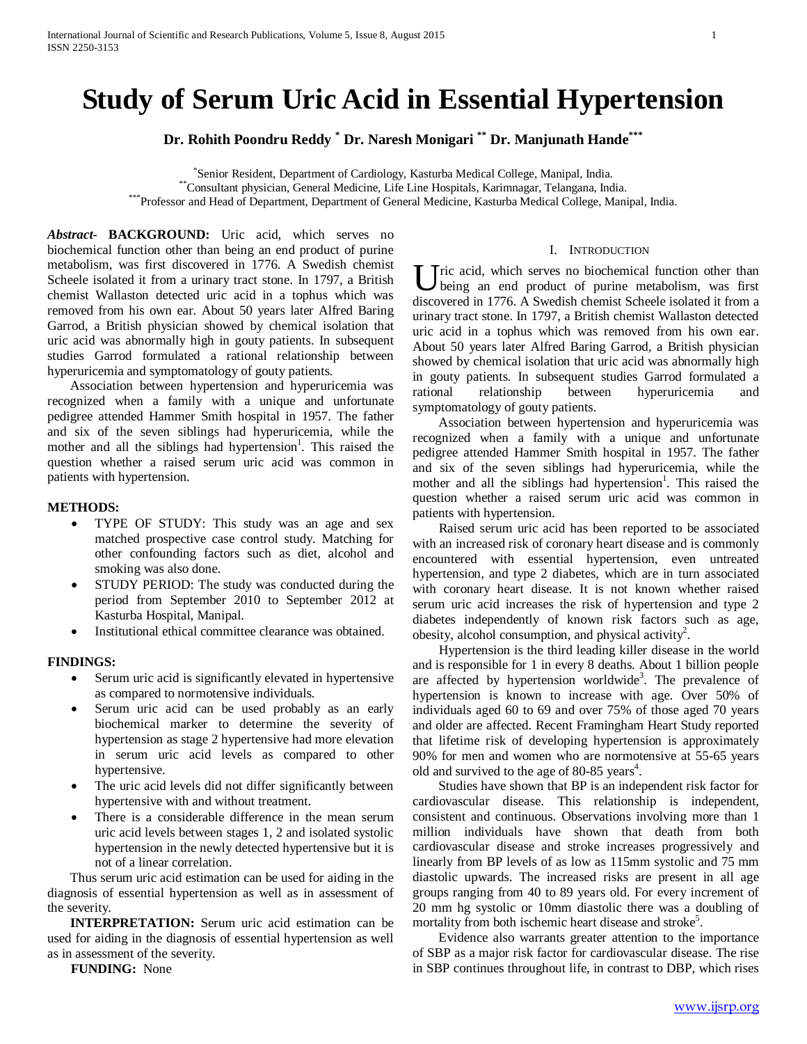# **Study of Serum Uric Acid in Essential Hypertension**

**Dr. Rohith Poondru Reddy \* Dr. Naresh Monigari \*\* Dr. Manjunath Hande\*\*\***

\*Senior Resident, Department of Cardiology, Kasturba Medical College, Manipal, India. \*\*Consultant physician, General Medicine, Life Line Hospitals, Karimnagar, Telangana, India.<br>\*\*\*Professor and Head of Department, Department of General Medicine, Kasturba Medical College, Manipal, India.

*Abstract***- BACKGROUND:** Uric acid, which serves no biochemical function other than being an end product of purine metabolism, was first discovered in 1776. A Swedish chemist Scheele isolated it from a urinary tract stone. In 1797, a British chemist Wallaston detected uric acid in a tophus which was removed from his own ear. About 50 years later Alfred Baring Garrod, a British physician showed by chemical isolation that uric acid was abnormally high in gouty patients. In subsequent studies Garrod formulated a rational relationship between hyperuricemia and symptomatology of gouty patients.

 Association between hypertension and hyperuricemia was recognized when a family with a unique and unfortunate pedigree attended Hammer Smith hospital in 1957. The father and six of the seven siblings had hyperuricemia, while the mother and all the siblings had hypertension<sup>1</sup>. This raised the question whether a raised serum uric acid was common in patients with hypertension.

## **METHODS:**

- TYPE OF STUDY: This study was an age and sex matched prospective case control study. Matching for other confounding factors such as diet, alcohol and smoking was also done.
- STUDY PERIOD: The study was conducted during the period from September 2010 to September 2012 at Kasturba Hospital, Manipal.
- Institutional ethical committee clearance was obtained.

#### **FINDINGS:**

- Serum uric acid is significantly elevated in hypertensive as compared to normotensive individuals.
- Serum uric acid can be used probably as an early biochemical marker to determine the severity of hypertension as stage 2 hypertensive had more elevation in serum uric acid levels as compared to other hypertensive.
- The uric acid levels did not differ significantly between hypertensive with and without treatment.
- There is a considerable difference in the mean serum uric acid levels between stages 1, 2 and isolated systolic hypertension in the newly detected hypertensive but it is not of a linear correlation.

 Thus serum uric acid estimation can be used for aiding in the diagnosis of essential hypertension as well as in assessment of the severity.

**INTERPRETATION:** Serum uric acid estimation can be used for aiding in the diagnosis of essential hypertension as well as in assessment of the severity.

**FUNDING:** None

#### I. INTRODUCTION

 $\bigcup$  ric acid, which serves no biochemical function other than being an end product of purine metabolism, was first being an end product of purine metabolism, was first discovered in 1776. A Swedish chemist Scheele isolated it from a urinary tract stone. In 1797, a British chemist Wallaston detected uric acid in a tophus which was removed from his own ear. About 50 years later Alfred Baring Garrod, a British physician showed by chemical isolation that uric acid was abnormally high in gouty patients. In subsequent studies Garrod formulated a rational relationship between hyperuricemia and symptomatology of gouty patients.

 Association between hypertension and hyperuricemia was recognized when a family with a unique and unfortunate pedigree attended Hammer Smith hospital in 1957. The father and six of the seven siblings had hyperuricemia, while the mother and all the siblings had hypertension<sup>1</sup>. This raised the question whether a raised serum uric acid was common in patients with hypertension.

 Raised serum uric acid has been reported to be associated with an increased risk of coronary heart disease and is commonly encountered with essential hypertension, even untreated hypertension, and type 2 diabetes, which are in turn associated with coronary heart disease. It is not known whether raised serum uric acid increases the risk of hypertension and type 2 diabetes independently of known risk factors such as age, obesity, alcohol consumption, and physical activity<sup>2</sup>.

 Hypertension is the third leading killer disease in the world and is responsible for 1 in every 8 deaths. About 1 billion people are affected by hypertension worldwide<sup>3</sup>. The prevalence of hypertension is known to increase with age. Over 50% of individuals aged 60 to 69 and over 75% of those aged 70 years and older are affected. Recent Framingham Heart Study reported that lifetime risk of developing hypertension is approximately 90% for men and women who are normotensive at 55-65 years old and survived to the age of 80-85 years<sup>4</sup>.

 Studies have shown that BP is an independent risk factor for cardiovascular disease. This relationship is independent, consistent and continuous. Observations involving more than 1 million individuals have shown that death from both cardiovascular disease and stroke increases progressively and linearly from BP levels of as low as 115mm systolic and 75 mm diastolic upwards. The increased risks are present in all age groups ranging from 40 to 89 years old. For every increment of 20 mm hg systolic or 10mm diastolic there was a doubling of mortality from both ischemic heart disease and stroke<sup>5</sup>.

 Evidence also warrants greater attention to the importance of SBP as a major risk factor for cardiovascular disease. The rise in SBP continues throughout life, in contrast to DBP, which rises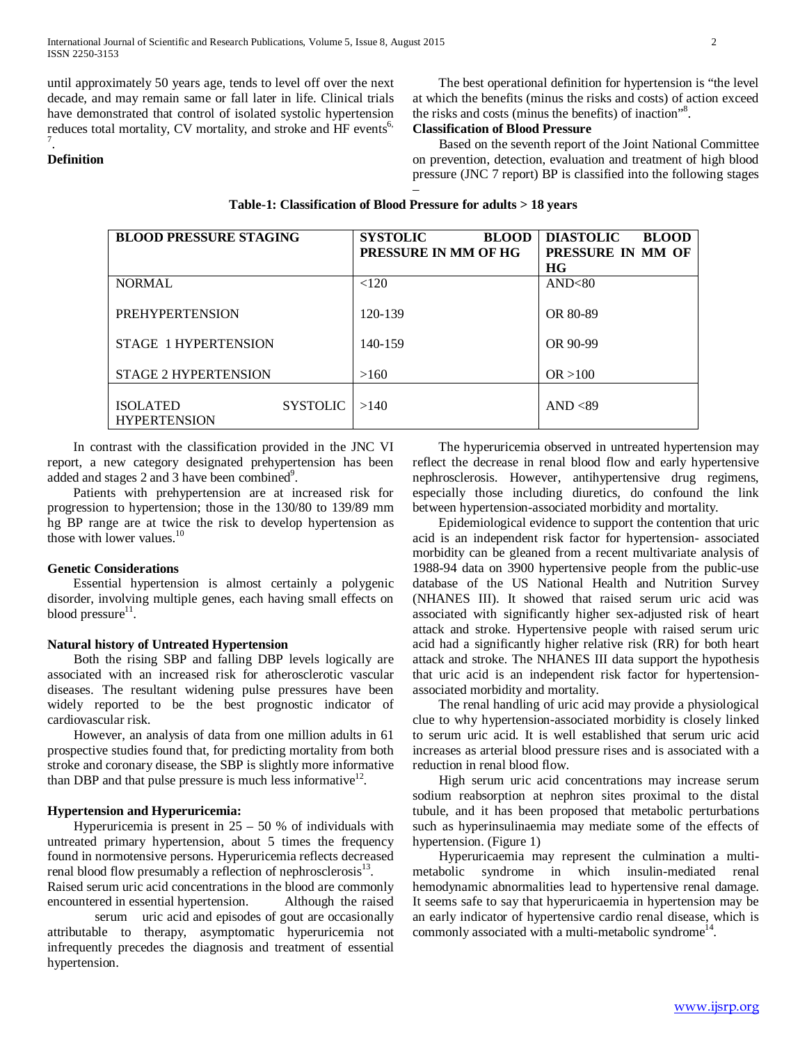until approximately 50 years age, tends to level off over the next decade, and may remain same or fall later in life. Clinical trials have demonstrated that control of isolated systolic hypertension reduces total mortality, CV mortality, and stroke and HF events<sup>6,</sup> 7 .

## **Definition**

 The best operational definition for hypertension is "the level at which the benefits (minus the risks and costs) of action exceed the risks and costs (minus the benefits) of inaction"8 .

# **Classification of Blood Pressure**

 Based on the seventh report of the Joint National Committee on prevention, detection, evaluation and treatment of high blood pressure (JNC 7 report) BP is classified into the following stages

| <b>BLOOD PRESSURE STAGING</b> |                     | <b>SYSTOLIC</b><br><b>BLOOD</b><br>PRESSURE IN MM OF HG | <b>DIASTOLIC</b><br><b>BLOOD</b><br>PRESSURE IN MM OF |
|-------------------------------|---------------------|---------------------------------------------------------|-------------------------------------------------------|
|                               |                     |                                                         | HG                                                    |
| <b>NORMAL</b>                 |                     | < 120                                                   | AND<80                                                |
|                               |                     |                                                         |                                                       |
| <b>PREHYPERTENSION</b>        |                     | 120-139                                                 | OR 80-89                                              |
|                               |                     |                                                         |                                                       |
| STAGE 1 HYPERTENSION          |                     | 140-159                                                 | OR 90-99                                              |
|                               |                     |                                                         |                                                       |
| <b>STAGE 2 HYPERTENSION</b>   |                     |                                                         |                                                       |
|                               |                     | >160                                                    | OR > 100                                              |
|                               |                     |                                                         |                                                       |
| <b>ISOLATED</b>               | $SYSTOLIC$   $>140$ |                                                         | AND $<89$                                             |
| <b>HYPERTENSION</b>           |                     |                                                         |                                                       |
|                               |                     |                                                         |                                                       |

## **Table-1: Classification of Blood Pressure for adults > 18 years**

–

 In contrast with the classification provided in the JNC VI report, a new category designated prehypertension has been added and stages 2 and 3 have been combined<sup>9</sup>.

 Patients with prehypertension are at increased risk for progression to hypertension; those in the 130/80 to 139/89 mm hg BP range are at twice the risk to develop hypertension as those with lower values.<sup>10</sup>

#### **Genetic Considerations**

 Essential hypertension is almost certainly a polygenic disorder, involving multiple genes, each having small effects on blood pressure $1$ .

## **Natural history of Untreated Hypertension**

 Both the rising SBP and falling DBP levels logically are associated with an increased risk for atherosclerotic vascular diseases. The resultant widening pulse pressures have been widely reported to be the best prognostic indicator of cardiovascular risk.

 However, an analysis of data from one million adults in 61 prospective studies found that, for predicting mortality from both stroke and coronary disease, the SBP is slightly more informative than DBP and that pulse pressure is much less informative  $12$ .

## **Hypertension and Hyperuricemia:**

Hyperuricemia is present in  $25 - 50$  % of individuals with untreated primary hypertension, about 5 times the frequency found in normotensive persons. Hyperuricemia reflects decreased renal blood flow presumably a reflection of nephrosclerosis $^{13}$ .

Raised serum uric acid concentrations in the blood are commonly encountered in essential hypertension. Although the raised

serum uric acid and episodes of gout are occasionally attributable to therapy, asymptomatic hyperuricemia not infrequently precedes the diagnosis and treatment of essential hypertension.

 The hyperuricemia observed in untreated hypertension may reflect the decrease in renal blood flow and early hypertensive nephrosclerosis. However, antihypertensive drug regimens, especially those including diuretics, do confound the link between hypertension-associated morbidity and mortality.

 Epidemiological evidence to support the contention that uric acid is an independent risk factor for hypertension- associated morbidity can be gleaned from a recent multivariate analysis of 1988-94 data on 3900 hypertensive people from the public-use database of the US National Health and Nutrition Survey (NHANES III). It showed that raised serum uric acid was associated with significantly higher sex-adjusted risk of heart attack and stroke. Hypertensive people with raised serum uric acid had a significantly higher relative risk (RR) for both heart attack and stroke. The NHANES III data support the hypothesis that uric acid is an independent risk factor for hypertensionassociated morbidity and mortality.

 The renal handling of uric acid may provide a physiological clue to why hypertension-associated morbidity is closely linked to serum uric acid. It is well established that serum uric acid increases as arterial blood pressure rises and is associated with a reduction in renal blood flow.

 High serum uric acid concentrations may increase serum sodium reabsorption at nephron sites proximal to the distal tubule, and it has been proposed that metabolic perturbations such as hyperinsulinaemia may mediate some of the effects of hypertension. (Figure 1)

 Hyperuricaemia may represent the culmination a multimetabolic syndrome in which insulin-mediated renal hemodynamic abnormalities lead to hypertensive renal damage. It seems safe to say that hyperuricaemia in hypertension may be an early indicator of hypertensive cardio renal disease, which is commonly associated with a multi-metabolic syndrome<sup> $14$ </sup>.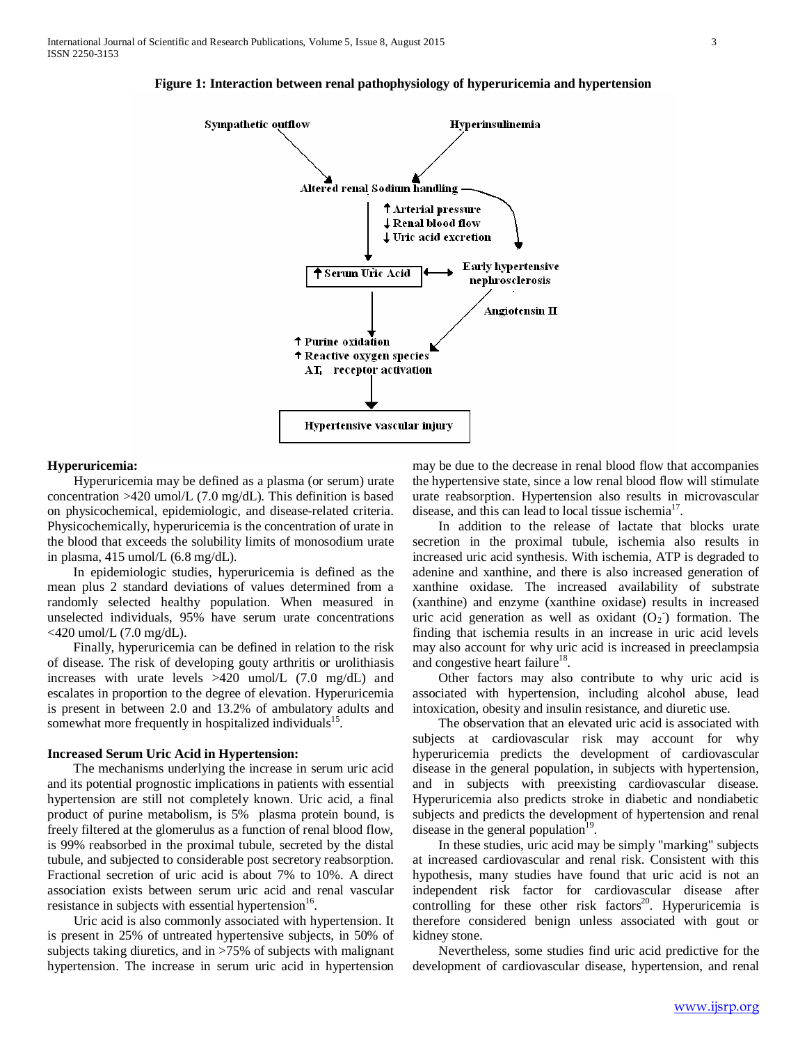

## **Figure 1: Interaction between renal pathophysiology of hyperuricemia and hypertension**

#### **Hyperuricemia:**

 Hyperuricemia may be defined as a plasma (or serum) urate concentration >420 umol/L (7.0 mg/dL). This definition is based on physicochemical, epidemiologic, and disease-related criteria. Physicochemically, hyperuricemia is the concentration of urate in the blood that exceeds the solubility limits of monosodium urate in plasma,  $415 \text{ umol/L}$  (6.8 mg/dL).

 In epidemiologic studies, hyperuricemia is defined as the mean plus 2 standard deviations of values determined from a randomly selected healthy population. When measured in unselected individuals, 95% have serum urate concentrations  $<$ 420 umol/L (7.0 mg/dL).

 Finally, hyperuricemia can be defined in relation to the risk of disease. The risk of developing gouty arthritis or urolithiasis increases with urate levels >420 umol/L (7.0 mg/dL) and escalates in proportion to the degree of elevation. Hyperuricemia is present in between 2.0 and 13.2% of ambulatory adults and somewhat more frequently in hospitalized individuals<sup>15</sup>.

#### **Increased Serum Uric Acid in Hypertension:**

 The mechanisms underlying the increase in serum uric acid and its potential prognostic implications in patients with essential hypertension are still not completely known. Uric acid, a final product of purine metabolism, is 5% plasma protein bound, is freely filtered at the glomerulus as a function of renal blood flow, is 99% reabsorbed in the proximal tubule, secreted by the distal tubule, and subjected to considerable post secretory reabsorption. Fractional secretion of uric acid is about 7% to 10%. A direct association exists between serum uric acid and renal vascular resistance in subjects with essential hypertension $16$ .

 Uric acid is also commonly associated with hypertension. It is present in 25% of untreated hypertensive subjects, in 50% of subjects taking diuretics, and in >75% of subjects with malignant hypertension. The increase in serum uric acid in hypertension may be due to the decrease in renal blood flow that accompanies the hypertensive state, since a low renal blood flow will stimulate urate reabsorption. Hypertension also results in microvascular disease, and this can lead to local tissue ischemia<sup>17</sup>.

 In addition to the release of lactate that blocks urate secretion in the proximal tubule, ischemia also results in increased uric acid synthesis. With ischemia, ATP is degraded to adenine and xanthine, and there is also increased generation of xanthine oxidase. The increased availability of substrate (xanthine) and enzyme (xanthine oxidase) results in increased uric acid generation as well as oxidant  $(O_2)$  formation. The finding that ischemia results in an increase in uric acid levels may also account for why uric acid is increased in preeclampsia and congestive heart failure<sup>18</sup>.

 Other factors may also contribute to why uric acid is associated with hypertension, including alcohol abuse, lead intoxication, obesity and insulin resistance, and diuretic use.

 The observation that an elevated uric acid is associated with subjects at cardiovascular risk may account for why hyperuricemia predicts the development of cardiovascular disease in the general population, in subjects with hypertension, and in subjects with preexisting cardiovascular disease. Hyperuricemia also predicts stroke in diabetic and nondiabetic subjects and predicts the development of hypertension and renal disease in the general population $19$ .

 In these studies, uric acid may be simply "marking" subjects at increased cardiovascular and renal risk. Consistent with this hypothesis, many studies have found that uric acid is not an independent risk factor for cardiovascular disease after controlling for these other risk factors<sup>20</sup>. Hyperuricemia is therefore considered benign unless associated with gout or kidney stone.

 Nevertheless, some studies find uric acid predictive for the development of cardiovascular disease, hypertension, and renal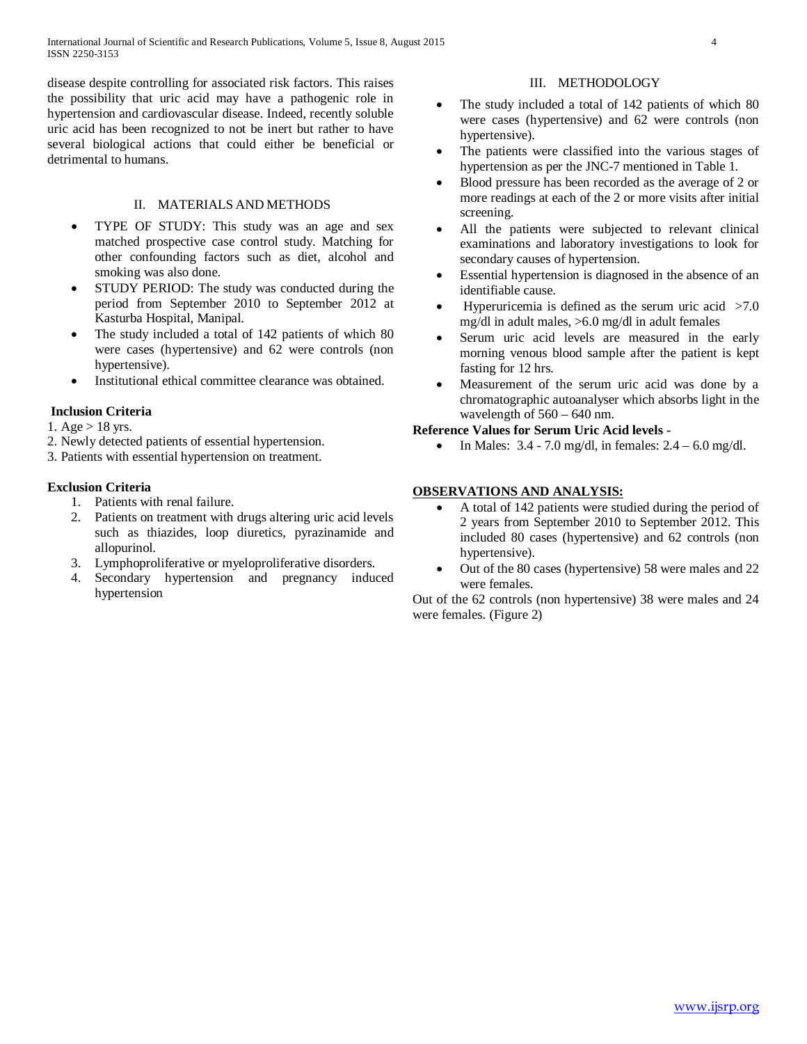disease despite controlling for associated risk factors. This raises the possibility that uric acid may have a pathogenic role in hypertension and cardiovascular disease. Indeed, recently soluble uric acid has been recognized to not be inert but rather to have several biological actions that could either be beneficial or detrimental to humans.

## II. MATERIALS AND METHODS

- TYPE OF STUDY: This study was an age and sex matched prospective case control study. Matching for other confounding factors such as diet, alcohol and smoking was also done.
- STUDY PERIOD: The study was conducted during the period from September 2010 to September 2012 at Kasturba Hospital, Manipal.
- The study included a total of 142 patients of which 80 were cases (hypertensive) and 62 were controls (non hypertensive).
- Institutional ethical committee clearance was obtained.

# **Inclusion Criteria**

- 1. Age  $> 18$  yrs.
- 2. Newly detected patients of essential hypertension.
- 3. Patients with essential hypertension on treatment.

# **Exclusion Criteria**

- 1. Patients with renal failure.
- 2. Patients on treatment with drugs altering uric acid levels such as thiazides, loop diuretics, pyrazinamide and allopurinol.
- 3. Lymphoproliferative or myeloproliferative disorders.
- 4. Secondary hypertension and pregnancy induced hypertension

## III. METHODOLOGY

- The study included a total of 142 patients of which 80 were cases (hypertensive) and 62 were controls (non hypertensive).
- The patients were classified into the various stages of hypertension as per the JNC-7 mentioned in Table 1.
- Blood pressure has been recorded as the average of 2 or more readings at each of the 2 or more visits after initial screening.
- All the patients were subjected to relevant clinical examinations and laboratory investigations to look for secondary causes of hypertension.
- Essential hypertension is diagnosed in the absence of an identifiable cause.
- Hyperuricemia is defined as the serum uric acid  $>7.0$ mg/dl in adult males, >6.0 mg/dl in adult females
- Serum uric acid levels are measured in the early morning venous blood sample after the patient is kept fasting for 12 hrs.
- Measurement of the serum uric acid was done by a chromatographic autoanalyser which absorbs light in the wavelength of  $560 - 640$  nm.

# **Reference Values for Serum Uric Acid levels -**

• In Males:  $3.4 - 7.0$  mg/dl, in females:  $2.4 - 6.0$  mg/dl.

## **OBSERVATIONS AND ANALYSIS:**

- A total of 142 patients were studied during the period of 2 years from September 2010 to September 2012. This included 80 cases (hypertensive) and 62 controls (non hypertensive).
- Out of the 80 cases (hypertensive) 58 were males and 22 were females.

Out of the 62 controls (non hypertensive) 38 were males and 24 were females. (Figure 2)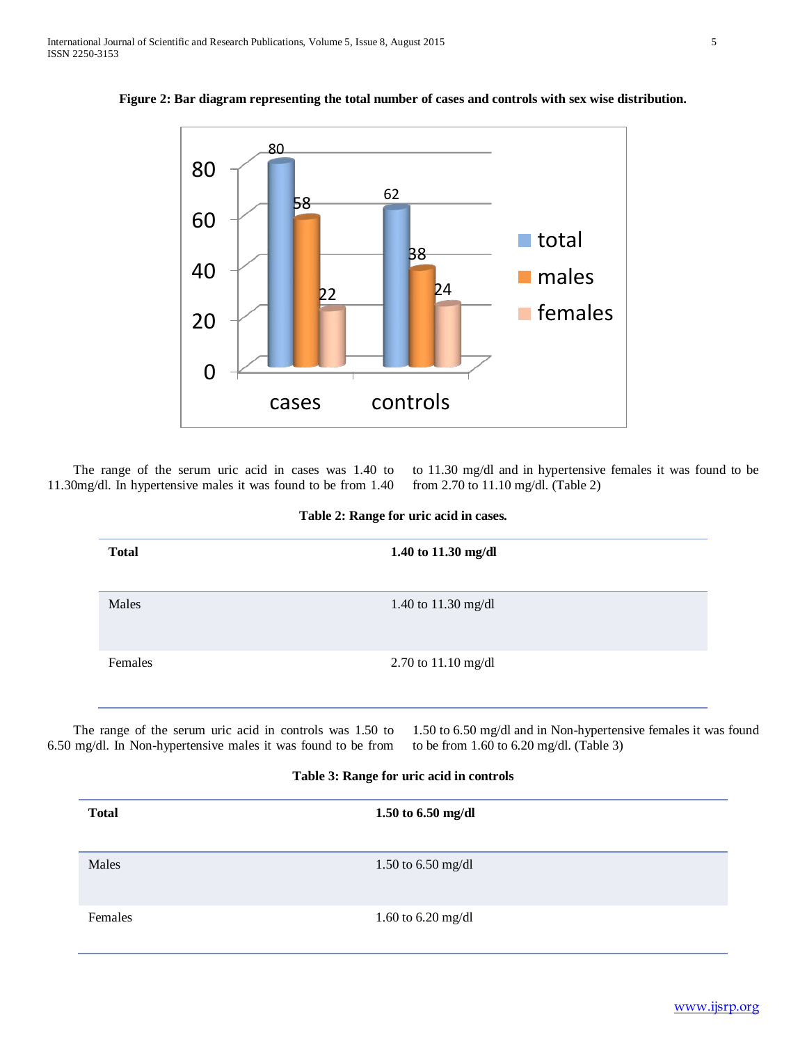**Figure 2: Bar diagram representing the total number of cases and controls with sex wise distribution.**



 The range of the serum uric acid in cases was 1.40 to 11.30mg/dl. In hypertensive males it was found to be from 1.40

to 11.30 mg/dl and in hypertensive females it was found to be from 2.70 to 11.10 mg/dl. (Table 2)

| Table 2: Range for uric acid in cases. |  |  |
|----------------------------------------|--|--|
|                                        |  |  |

| <b>Total</b> | 1.50 to $6.50$ mg/dl |  |
|--------------|----------------------|--|
| Males        | 1.50 to $6.50$ mg/dl |  |
| Females      | 1.60 to $6.20$ mg/dl |  |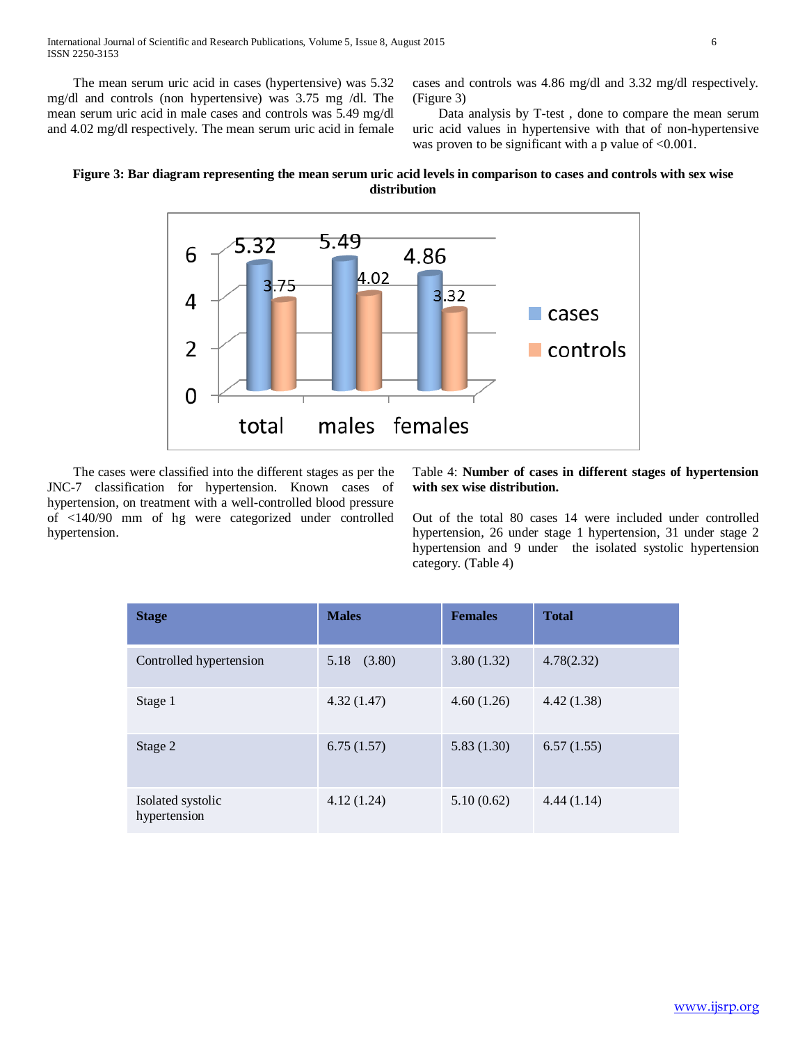The mean serum uric acid in cases (hypertensive) was 5.32 mg/dl and controls (non hypertensive) was 3.75 mg /dl. The mean serum uric acid in male cases and controls was 5.49 mg/dl and 4.02 mg/dl respectively. The mean serum uric acid in female cases and controls was 4.86 mg/dl and 3.32 mg/dl respectively. (Figure 3)

 Data analysis by T-test , done to compare the mean serum uric acid values in hypertensive with that of non-hypertensive was proven to be significant with a p value of <0.001.

# **Figure 3: Bar diagram representing the mean serum uric acid levels in comparison to cases and controls with sex wise distribution**



 The cases were classified into the different stages as per the JNC-7 classification for hypertension. Known cases of hypertension, on treatment with a well-controlled blood pressure of <140/90 mm of hg were categorized under controlled hypertension.

## Table 4: **Number of cases in different stages of hypertension with sex wise distribution.**

Out of the total 80 cases 14 were included under controlled hypertension, 26 under stage 1 hypertension, 31 under stage 2 hypertension and 9 under the isolated systolic hypertension category. (Table 4)

| <b>Stage</b>                      | <b>Males</b>   | <b>Females</b> | <b>Total</b> |
|-----------------------------------|----------------|----------------|--------------|
| Controlled hypertension           | 5.18<br>(3.80) | 3.80(1.32)     | 4.78(2.32)   |
| Stage 1                           | 4.32(1.47)     | 4.60(1.26)     | 4.42(1.38)   |
| Stage 2                           | 6.75(1.57)     | 5.83(1.30)     | 6.57(1.55)   |
| Isolated systolic<br>hypertension | 4.12(1.24)     | 5.10(0.62)     | 4.44(1.14)   |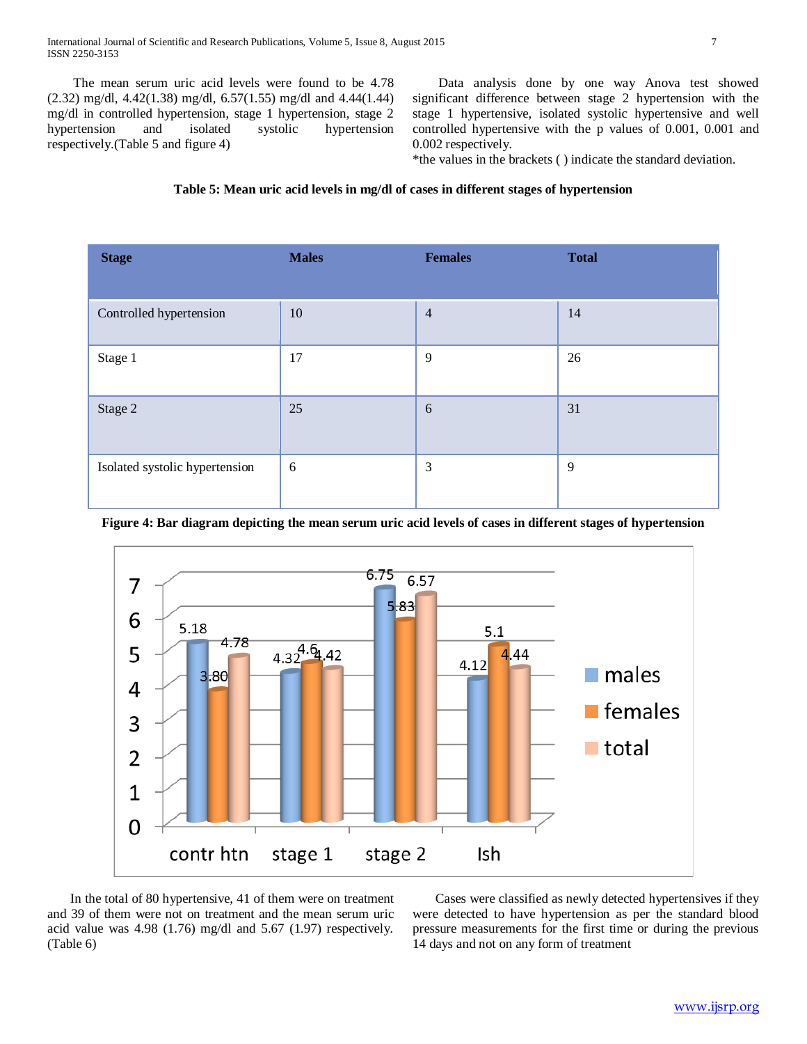The mean serum uric acid levels were found to be 4.78 (2.32) mg/dl, 4.42(1.38) mg/dl, 6.57(1.55) mg/dl and 4.44(1.44) mg/dl in controlled hypertension, stage 1 hypertension, stage 2 hypertension and isolated systolic hypertension respectively.(Table 5 and figure 4)

 Data analysis done by one way Anova test showed significant difference between stage 2 hypertension with the stage 1 hypertensive, isolated systolic hypertensive and well controlled hypertensive with the p values of 0.001, 0.001 and 0.002 respectively.

\*the values in the brackets ( ) indicate the standard deviation.

# **Table 5: Mean uric acid levels in mg/dl of cases in different stages of hypertension**

| <b>Stage</b>                   | <b>Males</b> | <b>Females</b> | <b>Total</b> |
|--------------------------------|--------------|----------------|--------------|
| Controlled hypertension        | 10           | $\overline{4}$ | 14           |
| Stage 1                        | 17           | 9              | 26           |
| Stage 2                        | 25           | 6              | 31           |
| Isolated systolic hypertension | 6            | 3              | 9            |

## **Figure 4: Bar diagram depicting the mean serum uric acid levels of cases in different stages of hypertension**



 In the total of 80 hypertensive, 41 of them were on treatment and 39 of them were not on treatment and the mean serum uric acid value was 4.98 (1.76) mg/dl and 5.67 (1.97) respectively. (Table 6)

 Cases were classified as newly detected hypertensives if they were detected to have hypertension as per the standard blood pressure measurements for the first time or during the previous 14 days and not on any form of treatment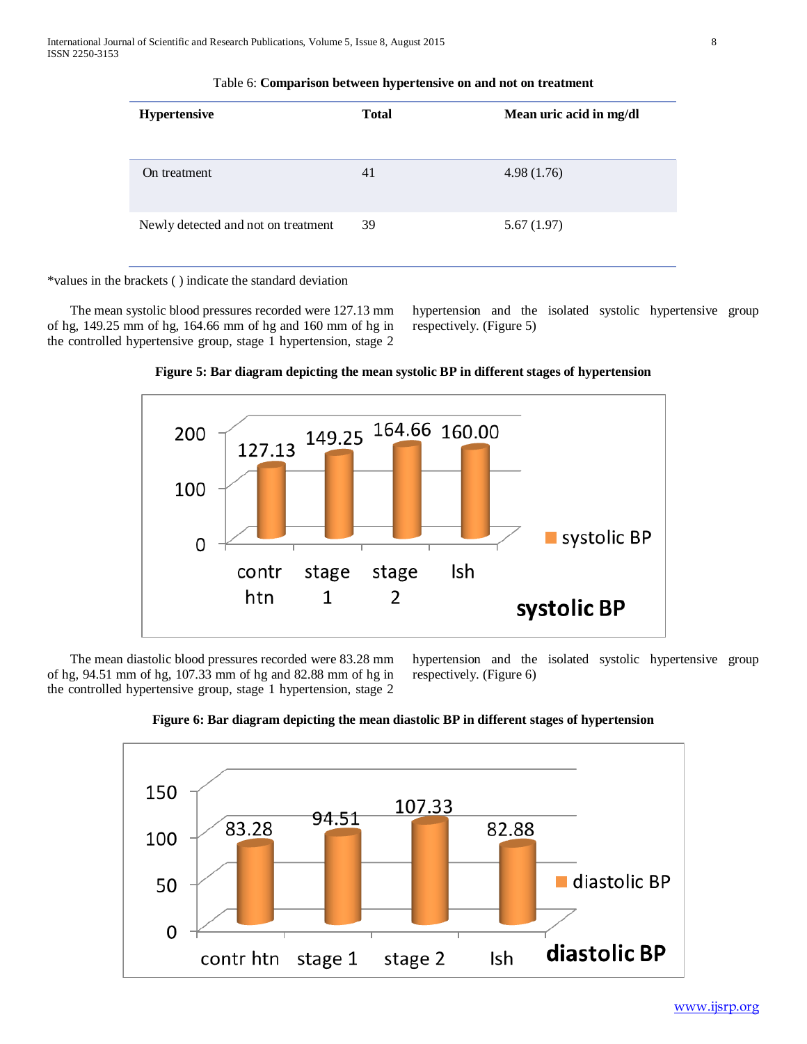| <b>Hypertensive</b>                 | <b>Total</b> | Mean uric acid in mg/dl |
|-------------------------------------|--------------|-------------------------|
| On treatment                        | 41           | 4.98(1.76)              |
| Newly detected and not on treatment | 39           | 5.67(1.97)              |

Table 6: **Comparison between hypertensive on and not on treatment**

\*values in the brackets ( ) indicate the standard deviation

 The mean systolic blood pressures recorded were 127.13 mm of hg, 149.25 mm of hg, 164.66 mm of hg and 160 mm of hg in the controlled hypertensive group, stage 1 hypertension, stage 2 hypertension and the isolated systolic hypertensive group respectively. (Figure 5)





 The mean diastolic blood pressures recorded were 83.28 mm of hg, 94.51 mm of hg, 107.33 mm of hg and 82.88 mm of hg in the controlled hypertensive group, stage 1 hypertension, stage 2 hypertension and the isolated systolic hypertensive group respectively. (Figure 6)



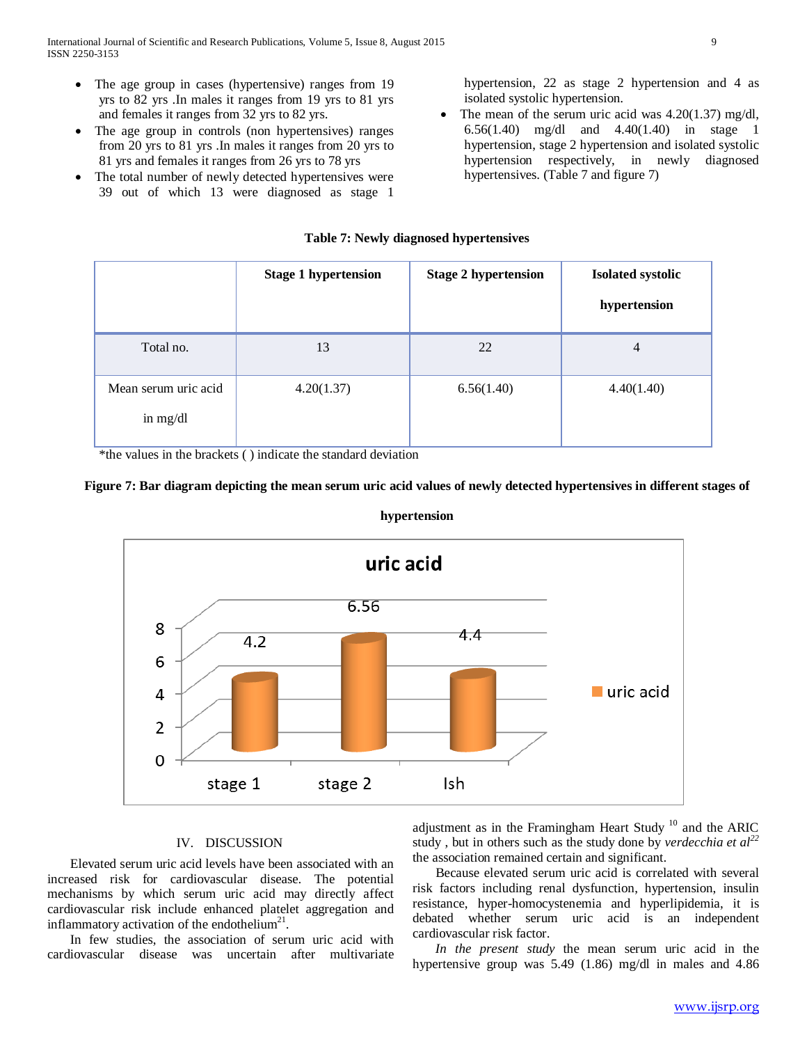- The age group in cases (hypertensive) ranges from 19 yrs to 82 yrs .In males it ranges from 19 yrs to 81 yrs and females it ranges from 32 yrs to 82 yrs.
- The age group in controls (non hypertensives) ranges from 20 yrs to 81 yrs .In males it ranges from 20 yrs to 81 yrs and females it ranges from 26 yrs to 78 yrs
- The total number of newly detected hypertensives were 39 out of which 13 were diagnosed as stage 1

hypertension, 22 as stage 2 hypertension and 4 as isolated systolic hypertension.

The mean of the serum uric acid was  $4.20(1.37)$  mg/dl, 6.56(1.40) mg/dl and 4.40(1.40) in stage 1 hypertension, stage 2 hypertension and isolated systolic hypertension respectively, in newly diagnosed hypertensives. (Table 7 and figure 7)

## **Table 7: Newly diagnosed hypertensives**

|                                  | <b>Stage 1 hypertension</b> | <b>Stage 2 hypertension</b> | <b>Isolated systolic</b><br>hypertension |
|----------------------------------|-----------------------------|-----------------------------|------------------------------------------|
| Total no.                        | 13                          | 22                          | $\overline{4}$                           |
| Mean serum uric acid<br>in mg/dl | 4.20(1.37)                  | 6.56(1.40)                  | 4.40(1.40)                               |

\*the values in the brackets ( ) indicate the standard deviation





## **hypertension**

## IV. DISCUSSION

 Elevated serum uric acid levels have been associated with an increased risk for cardiovascular disease. The potential mechanisms by which serum uric acid may directly affect cardiovascular risk include enhanced platelet aggregation and inflammatory activation of the endothelium<sup>21</sup>.

 In few studies, the association of serum uric acid with cardiovascular disease was uncertain after multivariate adjustment as in the Framingham Heart Study<sup>10</sup> and the ARIC study , but in others such as the study done by *verdecchia et al<sup>22</sup>* the association remained certain and significant.

 Because elevated serum uric acid is correlated with several risk factors including renal dysfunction, hypertension, insulin resistance, hyper-homocystenemia and hyperlipidemia, it is debated whether serum uric acid is an independent cardiovascular risk factor.

 *In the present study* the mean serum uric acid in the hypertensive group was 5.49 (1.86) mg/dl in males and 4.86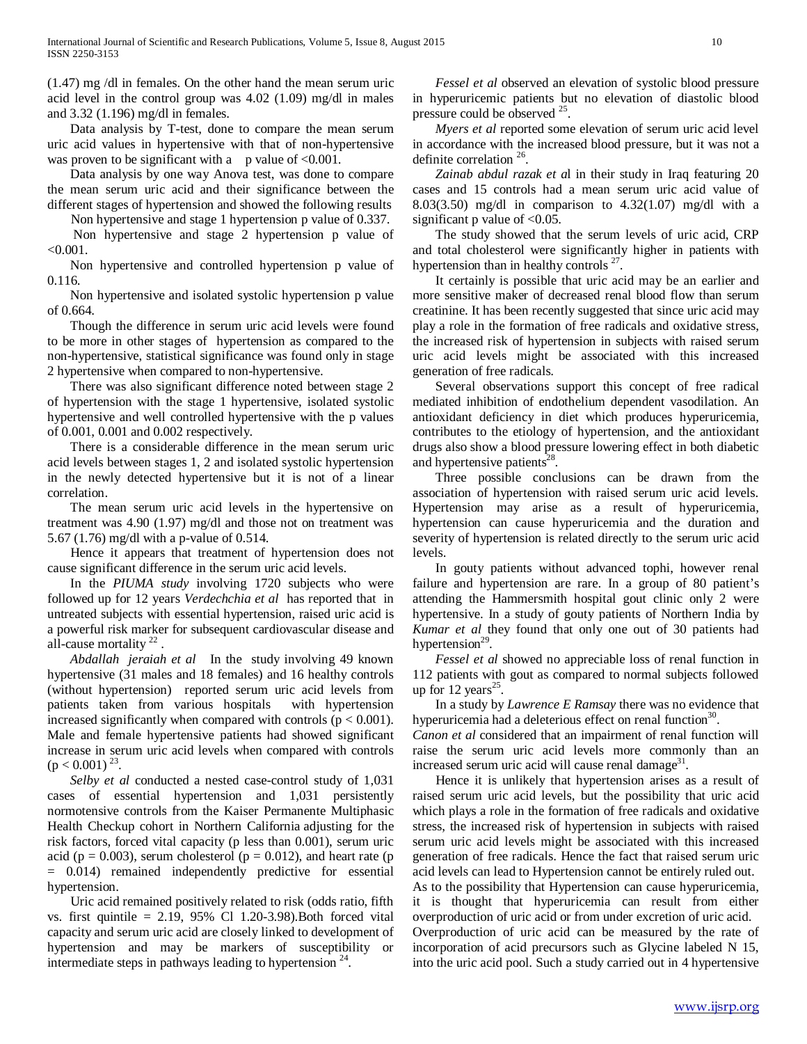(1.47) mg /dl in females. On the other hand the mean serum uric acid level in the control group was 4.02 (1.09) mg/dl in males and 3.32 (1.196) mg/dl in females.

 Data analysis by T-test, done to compare the mean serum uric acid values in hypertensive with that of non-hypertensive was proven to be significant with a p value of  $<0.001$ .

 Data analysis by one way Anova test, was done to compare the mean serum uric acid and their significance between the different stages of hypertension and showed the following results

Non hypertensive and stage 1 hypertension p value of 0.337.

 Non hypertensive and stage 2 hypertension p value of  $< 0.001$ .

 Non hypertensive and controlled hypertension p value of 0.116.

 Non hypertensive and isolated systolic hypertension p value of 0.664.

 Though the difference in serum uric acid levels were found to be more in other stages of hypertension as compared to the non-hypertensive, statistical significance was found only in stage 2 hypertensive when compared to non-hypertensive.

 There was also significant difference noted between stage 2 of hypertension with the stage 1 hypertensive, isolated systolic hypertensive and well controlled hypertensive with the p values of 0.001, 0.001 and 0.002 respectively.

 There is a considerable difference in the mean serum uric acid levels between stages 1, 2 and isolated systolic hypertension in the newly detected hypertensive but it is not of a linear correlation.

 The mean serum uric acid levels in the hypertensive on treatment was 4.90 (1.97) mg/dl and those not on treatment was 5.67 (1.76) mg/dl with a p-value of 0.514.

 Hence it appears that treatment of hypertension does not cause significant difference in the serum uric acid levels.

 In the *PIUMA study* involving 1720 subjects who were followed up for 12 years *Verdechchia et al* has reported that in untreated subjects with essential hypertension, raised uric acid is a powerful risk marker for subsequent cardiovascular disease and all-cause mortality  $22$ 

 *Abdallah jeraiah et al* In the study involving 49 known hypertensive (31 males and 18 females) and 16 healthy controls (without hypertension) reported serum uric acid levels from patients taken from various hospitals with hypertension increased significantly when compared with controls ( $p < 0.001$ ). Male and female hypertensive patients had showed significant increase in serum uric acid levels when compared with controls  $(p < 0.001)^{23}$ .

 *Selby et al* conducted a nested case-control study of 1,031 cases of essential hypertension and 1,031 persistently normotensive controls from the Kaiser Permanente Multiphasic Health Checkup cohort in Northern California adjusting for the risk factors, forced vital capacity (p less than 0.001), serum uric acid ( $p = 0.003$ ), serum cholesterol ( $p = 0.012$ ), and heart rate ( $p = 0.012$ ) = 0.014) remained independently predictive for essential hypertension.

 Uric acid remained positively related to risk (odds ratio, fifth vs. first quintile =  $2.19$ ,  $95\%$  Cl 1.20-3.98). Both forced vital capacity and serum uric acid are closely linked to development of hypertension and may be markers of susceptibility or intermediate steps in pathways leading to hypertension  $24$ .

 *Fessel et al* observed an elevation of systolic blood pressure in hyperuricemic patients but no elevation of diastolic blood pressure could be observed <sup>25</sup>.

 *Myers et al* reported some elevation of serum uric acid level in accordance with the increased blood pressure, but it was not a definite correlation<sup>26</sup>.

 *Zainab abdul razak et a*l in their study in Iraq featuring 20 cases and 15 controls had a mean serum uric acid value of 8.03(3.50) mg/dl in comparison to 4.32(1.07) mg/dl with a significant p value of  $<0.05$ .

 The study showed that the serum levels of uric acid, CRP and total cholesterol were significantly higher in patients with hypertension than in healthy controls  $27$ .

 It certainly is possible that uric acid may be an earlier and more sensitive maker of decreased renal blood flow than serum creatinine. It has been recently suggested that since uric acid may play a role in the formation of free radicals and oxidative stress, the increased risk of hypertension in subjects with raised serum uric acid levels might be associated with this increased generation of free radicals.

 Several observations support this concept of free radical mediated inhibition of endothelium dependent vasodilation. An antioxidant deficiency in diet which produces hyperuricemia, contributes to the etiology of hypertension, and the antioxidant drugs also show a blood pressure lowering effect in both diabetic and hypertensive patients<sup>28</sup>.

 Three possible conclusions can be drawn from the association of hypertension with raised serum uric acid levels. Hypertension may arise as a result of hyperuricemia, hypertension can cause hyperuricemia and the duration and severity of hypertension is related directly to the serum uric acid levels.

 In gouty patients without advanced tophi, however renal failure and hypertension are rare. In a group of 80 patient's attending the Hammersmith hospital gout clinic only 2 were hypertensive. In a study of gouty patients of Northern India by *Kumar et al* they found that only one out of 30 patients had hypertension $29$ .

 *Fessel et al* showed no appreciable loss of renal function in 112 patients with gout as compared to normal subjects followed up for  $12 \text{ years}^{25}$ .

 In a study by *Lawrence E Ramsay* there was no evidence that hyperuricemia had a deleterious effect on renal function<sup>30</sup>.

*Canon et al* considered that an impairment of renal function will raise the serum uric acid levels more commonly than an increased serum uric acid will cause renal damage<sup>31</sup>.

 Hence it is unlikely that hypertension arises as a result of raised serum uric acid levels, but the possibility that uric acid which plays a role in the formation of free radicals and oxidative stress, the increased risk of hypertension in subjects with raised serum uric acid levels might be associated with this increased generation of free radicals. Hence the fact that raised serum uric acid levels can lead to Hypertension cannot be entirely ruled out. As to the possibility that Hypertension can cause hyperuricemia, it is thought that hyperuricemia can result from either overproduction of uric acid or from under excretion of uric acid. Overproduction of uric acid can be measured by the rate of incorporation of acid precursors such as Glycine labeled N 15, into the uric acid pool. Such a study carried out in 4 hypertensive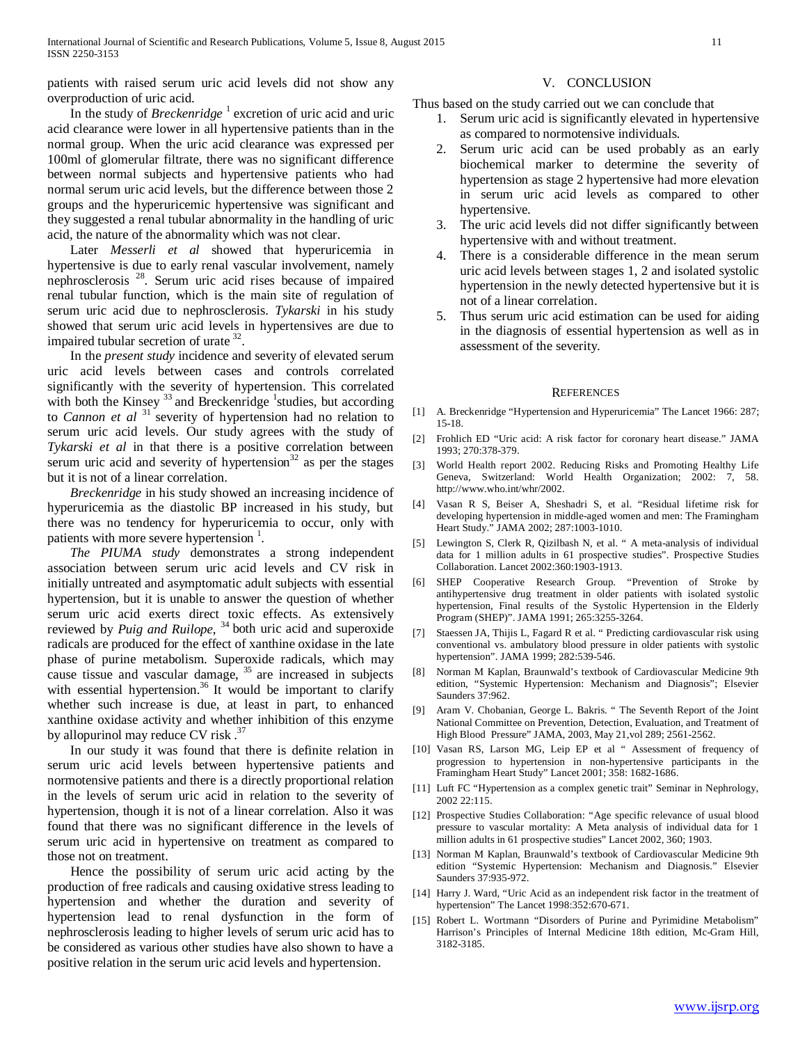patients with raised serum uric acid levels did not show any overproduction of uric acid.

## In the study of *Breckenridge* <sup>1</sup> excretion of uric acid and uric acid clearance were lower in all hypertensive patients than in the normal group. When the uric acid clearance was expressed per 100ml of glomerular filtrate, there was no significant difference between normal subjects and hypertensive patients who had normal serum uric acid levels, but the difference between those 2 groups and the hyperuricemic hypertensive was significant and they suggested a renal tubular abnormality in the handling of uric acid, the nature of the abnormality which was not clear.

 Later *Messerli et al* showed that hyperuricemia in hypertensive is due to early renal vascular involvement, namely nephrosclerosis 28. Serum uric acid rises because of impaired renal tubular function, which is the main site of regulation of serum uric acid due to nephrosclerosis. *Tykarski* in his study showed that serum uric acid levels in hypertensives are due to impaired tubular secretion of urate <sup>32</sup>.

 In the *present study* incidence and severity of elevated serum uric acid levels between cases and controls correlated significantly with the severity of hypertension. This correlated with both the Kinsey  $33$  and Breckenridge  $^1$ studies, but according to *Cannon et al* 31 severity of hypertension had no relation to serum uric acid levels. Our study agrees with the study of *Tykarski et al* in that there is a positive correlation between serum uric acid and severity of hypertension<sup>32</sup> as per the stages but it is not of a linear correlation.

 *Breckenridge* in his study showed an increasing incidence of hyperuricemia as the diastolic BP increased in his study, but there was no tendency for hyperuricemia to occur, only with patients with more severe hypertension<sup>1</sup>.

 *The PIUMA study* demonstrates a strong independent association between serum uric acid levels and CV risk in initially untreated and asymptomatic adult subjects with essential hypertension, but it is unable to answer the question of whether serum uric acid exerts direct toxic effects. As extensively reviewed by *Puig and Ruilope*, <sup>34</sup> both uric acid and superoxide radicals are produced for the effect of xanthine oxidase in the late phase of purine metabolism. Superoxide radicals, which may cause tissue and vascular damage, <sup>35</sup> are increased in subjects with essential hypertension.<sup>36</sup> It would be important to clarify whether such increase is due, at least in part, to enhanced xanthine oxidase activity and whether inhibition of this enzyme by allopurinol may reduce CV risk .<sup>37</sup>

 In our study it was found that there is definite relation in serum uric acid levels between hypertensive patients and normotensive patients and there is a directly proportional relation in the levels of serum uric acid in relation to the severity of hypertension, though it is not of a linear correlation. Also it was found that there was no significant difference in the levels of serum uric acid in hypertensive on treatment as compared to those not on treatment.

 Hence the possibility of serum uric acid acting by the production of free radicals and causing oxidative stress leading to hypertension and whether the duration and severity of hypertension lead to renal dysfunction in the form of nephrosclerosis leading to higher levels of serum uric acid has to be considered as various other studies have also shown to have a positive relation in the serum uric acid levels and hypertension.

#### V. CONCLUSION

Thus based on the study carried out we can conclude that

- 1. Serum uric acid is significantly elevated in hypertensive as compared to normotensive individuals.
- 2. Serum uric acid can be used probably as an early biochemical marker to determine the severity of hypertension as stage 2 hypertensive had more elevation in serum uric acid levels as compared to other hypertensive.
- 3. The uric acid levels did not differ significantly between hypertensive with and without treatment.
- 4. There is a considerable difference in the mean serum uric acid levels between stages 1, 2 and isolated systolic hypertension in the newly detected hypertensive but it is not of a linear correlation.
- 5. Thus serum uric acid estimation can be used for aiding in the diagnosis of essential hypertension as well as in assessment of the severity.

#### **REFERENCES**

- [1] A. Breckenridge "Hypertension and Hyperuricemia" The Lancet 1966: 287; 15-18.
- [2] Frohlich ED "Uric acid: A risk factor for coronary heart disease." JAMA 1993; 270:378-379.
- [3] World Health report 2002. Reducing Risks and Promoting Healthy Life Geneva, Switzerland: World Health Organization; 2002: 7, 58. http://www.who.int/whr/2002.
- [4] Vasan R S, Beiser A, Sheshadri S, et al. "Residual lifetime risk for developing hypertension in middle-aged women and men: The Framingham Heart Study." JAMA 2002; 287:1003-1010.
- [5] Lewington S, Clerk R, Qizilbash N, et al. " A meta-analysis of individual data for 1 million adults in 61 prospective studies". Prospective Studies Collaboration. Lancet 2002:360:1903-1913.
- [6] SHEP Cooperative Research Group. "Prevention of Stroke by antihypertensive drug treatment in older patients with isolated systolic hypertension, Final results of the Systolic Hypertension in the Elderly Program (SHEP)". JAMA 1991; 265:3255-3264.
- [7] Staessen JA, Thijis L, Fagard R et al. " Predicting cardiovascular risk using conventional vs. ambulatory blood pressure in older patients with systolic hypertension". JAMA 1999; 282:539-546.
- [8] Norman M Kaplan, Braunwald's textbook of Cardiovascular Medicine 9th edition, "Systemic Hypertension: Mechanism and Diagnosis"; Elsevier Saunders 37:962.
- [9] Aram V. Chobanian, George L. Bakris. " The Seventh Report of the Joint National Committee on Prevention, Detection, Evaluation, and Treatment of High Blood Pressure" JAMA, 2003, May 21,vol 289; 2561-2562.
- [10] Vasan RS, Larson MG, Leip EP et al " Assessment of frequency of progression to hypertension in non-hypertensive participants in the Framingham Heart Study" Lancet 2001; 358: 1682-1686.
- [11] Luft FC "Hypertension as a complex genetic trait" Seminar in Nephrology, 2002 22:115.
- [12] Prospective Studies Collaboration: "Age specific relevance of usual blood pressure to vascular mortality: A Meta analysis of individual data for 1 million adults in 61 prospective studies" Lancet 2002, 360; 1903.
- [13] Norman M Kaplan, Braunwald's textbook of Cardiovascular Medicine 9th edition "Systemic Hypertension: Mechanism and Diagnosis." Elsevier Saunders 37:935-972.
- [14] Harry J. Ward, "Uric Acid as an independent risk factor in the treatment of hypertension" The Lancet 1998:352:670-671.
- [15] Robert L. Wortmann "Disorders of Purine and Pyrimidine Metabolism" Harrison's Principles of Internal Medicine 18th edition, Mc-Gram Hill, 3182-3185.